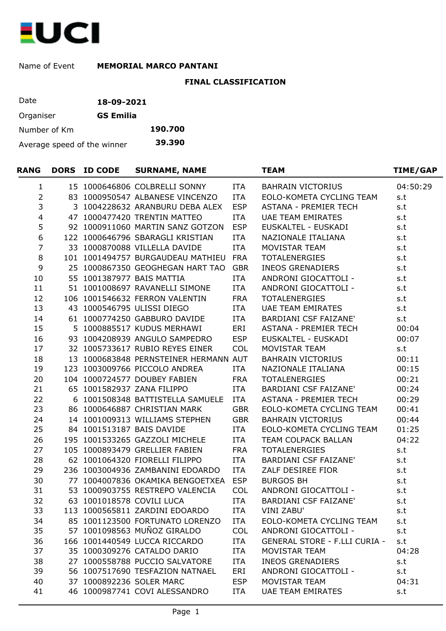

## Name of Event MEMORIAL MARCO PANTANI

## **FINAL CLASSIFICATION**

| Date                        | 18-09-2021       |         |
|-----------------------------|------------------|---------|
| Organiser                   | <b>GS Emilia</b> |         |
| Number of Km                |                  | 190.700 |
| Average speed of the winner |                  | 39.390  |

| <b>RANG</b>    |  | DORS ID CODE | <b>SURNAME, NAME</b>                  |            | <b>TEAM</b>                          | TIME/GAP |  |
|----------------|--|--------------|---------------------------------------|------------|--------------------------------------|----------|--|
| $\mathbf{1}$   |  |              | 15 1000646806 COLBRELLI SONNY         | ITA        | <b>BAHRAIN VICTORIUS</b>             | 04:50:29 |  |
| $\overline{2}$ |  |              | 83 1000950547 ALBANESE VINCENZO       | ITA        | EOLO-KOMETA CYCLING TEAM             | s.t      |  |
| 3              |  |              | 3 1004228632 ARANBURU DEBA ALEX       | <b>ESP</b> | ASTANA - PREMIER TECH                | s.t      |  |
| $\overline{4}$ |  |              | 47 1000477420 TRENTIN MATTEO          | <b>ITA</b> | <b>UAE TEAM EMIRATES</b>             | s.t      |  |
| 5              |  |              | 92 1000911060 MARTIN SANZ GOTZON      | <b>ESP</b> | EUSKALTEL - EUSKADI                  | s.t      |  |
| 6              |  |              | 122 1000646796 SBARAGLI KRISTIAN      | <b>ITA</b> | NAZIONALE ITALIANA                   | s.t      |  |
| $\overline{7}$ |  |              | 33 1000870088 VILLELLA DAVIDE         | ITA        | MOVISTAR TEAM                        | s.t      |  |
| $\,8\,$        |  |              | 101 1001494757 BURGAUDEAU MATHIEU     | <b>FRA</b> | <b>TOTALENERGIES</b>                 | s.t      |  |
| 9              |  |              | 25 1000867350 GEOGHEGAN HART TAO      | <b>GBR</b> | <b>INEOS GRENADIERS</b>              | s.t      |  |
| 10             |  |              | 55 1001387977 BAIS MATTIA             | ITA        | ANDRONI GIOCATTOLI -                 | s.t      |  |
| 11             |  |              | 51 1001008697 RAVANELLI SIMONE        | ITA        | ANDRONI GIOCATTOLI -                 | s.t      |  |
| 12             |  |              | 106 1001546632 FERRON VALENTIN        | <b>FRA</b> | <b>TOTALENERGIES</b>                 | s.t      |  |
| 13             |  |              | 43 1000546795 ULISSI DIEGO            | ITA        | UAE TEAM EMIRATES                    | s.t      |  |
| 14             |  |              | 61 1000774250 GABBURO DAVIDE          | <b>ITA</b> | BARDIANI CSF FAIZANE'                | s.t      |  |
| 15             |  |              | 5 1000885517 KUDUS MERHAWI            | ERI        | ASTANA - PREMIER TECH                | 00:04    |  |
| 16             |  |              | 93 1004208939 ANGULO SAMPEDRO         | <b>ESP</b> | EUSKALTEL - EUSKADI                  | 00:07    |  |
| 17             |  |              | 32 1005733617 RUBIO REYES EINER       | <b>COL</b> | MOVISTAR TEAM                        | s.t      |  |
| 18             |  |              | 13 1000683848 PERNSTEINER HERMANN AUT |            | <b>BAHRAIN VICTORIUS</b>             | 00:11    |  |
| 19             |  |              | 123 1003009766 PICCOLO ANDREA         | ITA        | NAZIONALE ITALIANA                   | 00:15    |  |
| 20             |  |              | 104 1000724577 DOUBEY FABIEN          | <b>FRA</b> | <b>TOTALENERGIES</b>                 | 00:21    |  |
| 21             |  |              | 65 1001582937 ZANA FILIPPO            | ITA        | <b>BARDIANI CSF FAIZANE'</b>         | 00:24    |  |
| 22             |  |              | 6 1001508348 BATTISTELLA SAMUELE      | ITA        | <b>ASTANA - PREMIER TECH</b>         | 00:29    |  |
| 23             |  |              | 86 1000646887 CHRISTIAN MARK          | <b>GBR</b> | EOLO-KOMETA CYCLING TEAM             | 00:41    |  |
| 24             |  |              | 14 1001009313 WILLIAMS STEPHEN        | <b>GBR</b> | <b>BAHRAIN VICTORIUS</b>             | 00:44    |  |
| 25             |  |              | 84 1001513187 BAIS DAVIDE             | ITA        | EOLO-KOMETA CYCLING TEAM             | 01:25    |  |
| 26             |  |              | 195 1001533265 GAZZOLI MICHELE        | <b>ITA</b> | TEAM COLPACK BALLAN                  | 04:22    |  |
| 27             |  |              | 105 1000893479 GRELLIER FABIEN        | <b>FRA</b> | <b>TOTALENERGIES</b>                 | s.t      |  |
| 28             |  |              | 62 1001064320 FIORELLI FILIPPO        | <b>ITA</b> | <b>BARDIANI CSF FAIZANE'</b>         | s.t      |  |
| 29             |  |              | 236 1003004936 ZAMBANINI EDOARDO      | ITA        | ZALF DESIREE FIOR                    | s.t      |  |
| 30             |  |              | 77 1004007836 OKAMIKA BENGOETXEA      | <b>ESP</b> | <b>BURGOS BH</b>                     | s.t      |  |
| 31             |  |              | 53 1000903755 RESTREPO VALENCIA       | <b>COL</b> | ANDRONI GIOCATTOLI -                 | s.t      |  |
| 32             |  |              | 63 1001018578 COVILI LUCA             | <b>ITA</b> | BARDIANI CSF FAIZANE'                | s.t      |  |
| 33             |  |              | 113 1000565811 ZARDINI EDOARDO        | <b>ITA</b> | VINI ZABU'                           | s.t      |  |
| 34             |  |              | 85 1001123500 FORTUNATO LORENZO       | <b>ITA</b> | EOLO-KOMETA CYCLING TEAM             | s.t      |  |
| 35             |  |              | 57 1001098563 MUÑOZ GIRALDO           | <b>COL</b> | ANDRONI GIOCATTOLI -                 | s.t      |  |
| 36             |  |              | 166 1001440549 LUCCA RICCARDO         | <b>ITA</b> | <b>GENERAL STORE - F.LLI CURIA -</b> | s.t      |  |
| 37             |  |              | 35 1000309276 CATALDO DARIO           | <b>ITA</b> | MOVISTAR TEAM                        | 04:28    |  |
| 38             |  |              | 27 1000558788 PUCCIO SALVATORE        | <b>ITA</b> | <b>INEOS GRENADIERS</b>              | s.t      |  |
| 39             |  |              | 56 1007517690 TESFAZION NATNAEL       | ERI        | ANDRONI GIOCATTOLI -                 | s.t      |  |
| 40             |  |              | 37 1000892236 SOLER MARC              | <b>ESP</b> | MOVISTAR TEAM                        | 04:31    |  |
| 41             |  |              | 46 1000987741 COVI ALESSANDRO         | ITA        | <b>UAE TEAM EMIRATES</b>             | s.t      |  |
|                |  |              |                                       |            |                                      |          |  |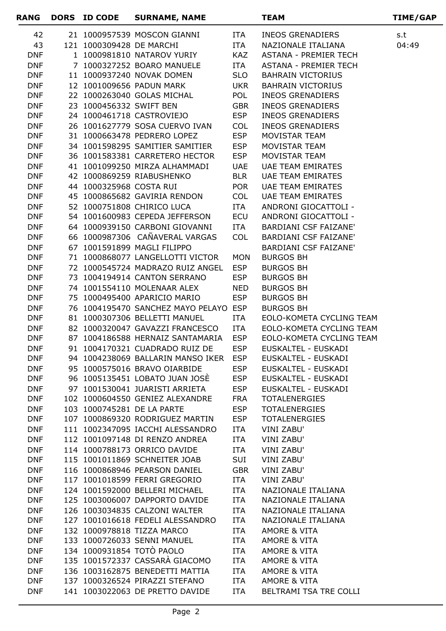| RANG                     | DORS ID CODE             | <b>SURNAME, NAME</b>                                           |                          | <b>TEAM</b>                                | <b>TIME/GAP</b> |
|--------------------------|--------------------------|----------------------------------------------------------------|--------------------------|--------------------------------------------|-----------------|
| 42                       |                          | 21 1000957539 MOSCON GIANNI                                    | ITA                      | <b>INEOS GRENADIERS</b>                    | s.t             |
| 43                       | 121 1000309428 DE MARCHI |                                                                | <b>ITA</b>               | NAZIONALE ITALIANA                         | 04:49           |
| <b>DNF</b>               |                          | 1 1000981810 NATAROV YURIY                                     | <b>KAZ</b>               | <b>ASTANA - PREMIER TECH</b>               |                 |
| <b>DNF</b>               |                          | 7 1000327252 BOARO MANUELE                                     | ITA                      | <b>ASTANA - PREMIER TECH</b>               |                 |
| <b>DNF</b>               |                          | 11 1000937240 NOVAK DOMEN                                      | <b>SLO</b>               | <b>BAHRAIN VICTORIUS</b>                   |                 |
| <b>DNF</b>               |                          | 12 1001009656 PADUN MARK                                       | UKR                      | <b>BAHRAIN VICTORIUS</b>                   |                 |
| <b>DNF</b>               |                          | 22 1000263040 GOLAS MICHAL                                     | POL                      | <b>INEOS GRENADIERS</b>                    |                 |
| <b>DNF</b>               | 23 1000456332 SWIFT BEN  |                                                                | <b>GBR</b>               | <b>INEOS GRENADIERS</b>                    |                 |
| <b>DNF</b>               |                          | 24 1000461718 CASTROVIEJO                                      | <b>ESP</b>               | <b>INEOS GRENADIERS</b>                    |                 |
| <b>DNF</b>               |                          | 26 1001627779 SOSA CUERVO IVAN                                 | <b>COL</b>               | <b>INEOS GRENADIERS</b>                    |                 |
| <b>DNF</b>               |                          | 31 1000663478 PEDRERO LOPEZ                                    | <b>ESP</b>               | MOVISTAR TEAM                              |                 |
| <b>DNF</b>               |                          | 34 1001598295 SAMITIER SAMITIER                                | <b>ESP</b>               | MOVISTAR TEAM                              |                 |
| <b>DNF</b>               |                          | 36 1001583381 CARRETERO HECTOR                                 | <b>ESP</b>               | MOVISTAR TEAM                              |                 |
| <b>DNF</b>               |                          | 41 1001099250 MIRZA ALHAMMADI                                  | <b>UAE</b>               | <b>UAE TEAM EMIRATES</b>                   |                 |
| <b>DNF</b>               |                          | 42 1000869259 RIABUSHENKO                                      | <b>BLR</b>               | <b>UAE TEAM EMIRATES</b>                   |                 |
| <b>DNF</b>               | 44 1000325968 COSTA RUI  |                                                                | <b>POR</b>               | <b>UAE TEAM EMIRATES</b>                   |                 |
| <b>DNF</b>               |                          | 45 1000865682 GAVIRIA RENDON                                   | <b>COL</b>               | <b>UAE TEAM EMIRATES</b>                   |                 |
| <b>DNF</b>               |                          | 52 1000751808 CHIRICO LUCA                                     | ITA                      | ANDRONI GIOCATTOLI -                       |                 |
| <b>DNF</b>               |                          | 54 1001600983 CEPEDA JEFFERSON                                 | <b>ECU</b>               | ANDRONI GIOCATTOLI -                       |                 |
| <b>DNF</b>               |                          | 64 1000939150 CARBONI GIOVANNI                                 | ITA                      | <b>BARDIANI CSF FAIZANE'</b>               |                 |
| <b>DNF</b>               |                          | 66 1000987306 CAÑAVERAL VARGAS                                 | <b>COL</b>               | <b>BARDIANI CSF FAIZANE'</b>               |                 |
| <b>DNF</b>               |                          | 67 1001591899 MAGLI FILIPPO                                    |                          | <b>BARDIANI CSF FAIZANE'</b>               |                 |
| <b>DNF</b>               |                          | 71 1000868077 LANGELLOTTI VICTOR                               | <b>MON</b>               | <b>BURGOS BH</b>                           |                 |
| <b>DNF</b>               |                          | 72 1000545724 MADRAZO RUIZ ANGEL                               | <b>ESP</b>               | <b>BURGOS BH</b>                           |                 |
| <b>DNF</b>               |                          | 73 1004194914 CANTON SERRANO                                   | <b>ESP</b>               | <b>BURGOS BH</b>                           |                 |
| <b>DNF</b>               |                          | 74 1001554110 MOLENAAR ALEX                                    | <b>NED</b>               | <b>BURGOS BH</b>                           |                 |
| <b>DNF</b>               |                          | 75 1000495400 APARICIO MARIO                                   | <b>ESP</b>               | <b>BURGOS BH</b>                           |                 |
| <b>DNF</b>               |                          | 76 1004195470 SANCHEZ MAYO PELAYO ESP                          |                          | <b>BURGOS BH</b>                           |                 |
| <b>DNF</b>               |                          | 81 1000307306 BELLETTI MANUEL                                  | ITA                      | EOLO-KOMETA CYCLING TEAM                   |                 |
| <b>DNF</b>               |                          | 82 1000320047 GAVAZZI FRANCESCO                                | ITA                      | EOLO-KOMETA CYCLING TEAM                   |                 |
| <b>DNF</b>               |                          | 87 1004186588 HERNAIZ SANTAMARIA                               | <b>ESP</b>               | EOLO-KOMETA CYCLING TEAM                   |                 |
| <b>DNF</b>               |                          | 91 1004170321 CUADRADO RUIZ DE                                 | <b>ESP</b>               | EUSKALTEL - EUSKADI                        |                 |
| <b>DNF</b>               |                          | 94 1004238069 BALLARIN MANSO IKER ESP                          |                          | EUSKALTEL - EUSKADI                        |                 |
| <b>DNF</b><br><b>DNF</b> |                          | 95 1000575016 BRAVO OIARBIDE<br>96 1005135451 LOBATO JUAN JOSÈ | <b>ESP</b><br><b>ESP</b> | EUSKALTEL - EUSKADI<br>EUSKALTEL - EUSKADI |                 |
| <b>DNF</b>               |                          | 97 1001530041 JUARISTI ARRIETA                                 | <b>ESP</b>               | EUSKALTEL - EUSKADI                        |                 |
| <b>DNF</b>               |                          | 102 1000604550 GENIEZ ALEXANDRE                                | <b>FRA</b>               | <b>TOTALENERGIES</b>                       |                 |
| <b>DNF</b>               |                          | 103 1000745281 DE LA PARTE                                     | <b>ESP</b>               | <b>TOTALENERGIES</b>                       |                 |
| <b>DNF</b>               |                          | 107 1000869320 RODRIGUEZ MARTIN                                | <b>ESP</b>               | <b>TOTALENERGIES</b>                       |                 |
| <b>DNF</b>               |                          | 111 1002347095 IACCHI ALESSANDRO                               | ITA                      | <b>VINI ZABU'</b>                          |                 |
| <b>DNF</b>               |                          | 112 1001097148 DI RENZO ANDREA                                 | ITA                      | VINI ZABU'                                 |                 |
| <b>DNF</b>               |                          | 114 1000788173 ORRICO DAVIDE                                   | ITA                      | <b>VINI ZABU'</b>                          |                 |
| <b>DNF</b>               |                          | 115 1001011869 SCHNEITER JOAB                                  | SUI                      | VINI ZABU'                                 |                 |
| <b>DNF</b>               |                          | 116 1000868946 PEARSON DANIEL                                  | <b>GBR</b>               | <b>VINI ZABU'</b>                          |                 |
| <b>DNF</b>               |                          | 117 1001018599 FERRI GREGORIO                                  | ITA                      | VINI ZABU'                                 |                 |
| <b>DNF</b>               |                          | 124 1001592000 BELLERI MICHAEL                                 | <b>ITA</b>               | NAZIONALE ITALIANA                         |                 |
| <b>DNF</b>               |                          | 125 1003006007 DAPPORTO DAVIDE                                 | ITA                      | NAZIONALE ITALIANA                         |                 |
| <b>DNF</b>               |                          | 126 1003034835 CALZONI WALTER                                  | ITA                      | NAZIONALE ITALIANA                         |                 |
| <b>DNF</b>               |                          | 127 1001016618 FEDELI ALESSANDRO                               | ITA                      | NAZIONALE ITALIANA                         |                 |
| <b>DNF</b>               |                          | 132 1000978818 TIZZA MARCO                                     | ITA                      | AMORE & VITA                               |                 |
| <b>DNF</b>               |                          | 133 1000726033 SENNI MANUEL                                    | ITA                      | AMORE & VITA                               |                 |
| <b>DNF</b>               |                          | 134 1000931854 TOTO PAOLO                                      | <b>ITA</b>               | AMORE & VITA                               |                 |
| <b>DNF</b>               |                          | 135 1001572337 CASSARÀ GIACOMO                                 | ITA                      | AMORE & VITA                               |                 |
| <b>DNF</b>               |                          | 136 1003162875 BENEDETTI MATTIA                                | ITA                      | AMORE & VITA                               |                 |
| <b>DNF</b>               |                          | 137 1000326524 PIRAZZI STEFANO                                 | ITA                      | AMORE & VITA                               |                 |
| <b>DNF</b>               |                          | 141 1003022063 DE PRETTO DAVIDE                                | ITA                      | BELTRAMI TSA TRE COLLI                     |                 |
|                          |                          |                                                                |                          |                                            |                 |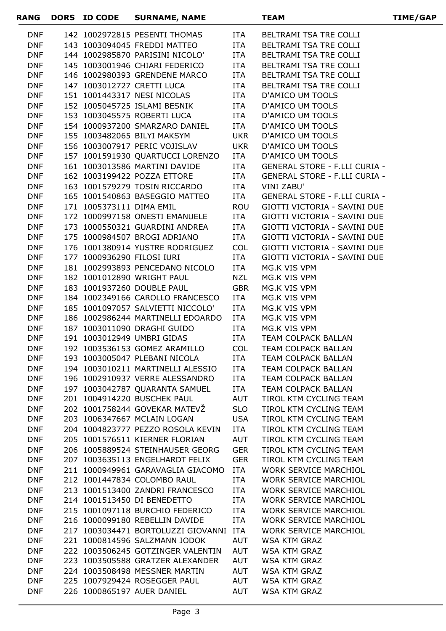| <b>RANG</b>              | DORS ID CODE               | <b>SURNAME, NAME</b>                                            |                   | <b>TEAM</b>                                               | TIME/GAP |
|--------------------------|----------------------------|-----------------------------------------------------------------|-------------------|-----------------------------------------------------------|----------|
| <b>DNF</b>               |                            | 142 1002972815 PESENTI THOMAS                                   | ITA               | BELTRAMI TSA TRE COLLI                                    |          |
| <b>DNF</b>               |                            | 143 1003094045 FREDDI MATTEO                                    | <b>ITA</b>        | BELTRAMI TSA TRE COLLI                                    |          |
| <b>DNF</b>               |                            | 144 1002985870 PARISINI NICOLO'                                 | ITA               | BELTRAMI TSA TRE COLLI                                    |          |
| <b>DNF</b>               |                            | 145 1003001946 CHIARI FEDERICO                                  | ITA               | BELTRAMI TSA TRE COLLI                                    |          |
| <b>DNF</b>               |                            | 146 1002980393 GRENDENE MARCO                                   | ITA               | BELTRAMI TSA TRE COLLI                                    |          |
| <b>DNF</b>               |                            | 147 1003012727 CRETTI LUCA                                      | ITA               | BELTRAMI TSA TRE COLLI                                    |          |
| <b>DNF</b>               |                            | 151 1001443317 NESI NICOLAS                                     | ITA               | D'AMICO UM TOOLS                                          |          |
| <b>DNF</b>               |                            | 152 1005045725 ISLAMI BESNIK                                    | ITA               | <b>D'AMICO UM TOOLS</b>                                   |          |
| <b>DNF</b>               |                            | 153 1003045575 ROBERTI LUCA                                     | ITA               | D'AMICO UM TOOLS                                          |          |
| <b>DNF</b>               |                            | 154 1000937200 SMARZARO DANIEL                                  | ITA               | <b>D'AMICO UM TOOLS</b>                                   |          |
| <b>DNF</b>               |                            | 155 1003482065 BILYI MAKSYM                                     | <b>UKR</b>        | D'AMICO UM TOOLS                                          |          |
| <b>DNF</b>               |                            | 156 1003007917 PERIC VOJISLAV                                   | <b>UKR</b>        | <b>D'AMICO UM TOOLS</b>                                   |          |
| <b>DNF</b>               |                            | 157 1001591930 QUARTUCCI LORENZO                                | ITA               | D'AMICO UM TOOLS                                          |          |
| <b>DNF</b>               |                            | 161 1003013586 MARTINI DAVIDE                                   | ITA               | <b>GENERAL STORE - F.LLI CURIA -</b>                      |          |
| <b>DNF</b>               |                            | 162 1003199422 POZZA ETTORE                                     | ITA               | <b>GENERAL STORE - F.LLI CURIA -</b>                      |          |
| <b>DNF</b><br><b>DNF</b> |                            | 163 1001579279 TOSIN RICCARDO<br>165 1001540863 BASEGGIO MATTEO | ITA<br>ITA        | <b>VINI ZABU'</b><br><b>GENERAL STORE - F.LLI CURIA -</b> |          |
| <b>DNF</b>               | 171 1005373111 DIMA EMIL   |                                                                 |                   | GIOTTI VICTORIA - SAVINI DUE                              |          |
| <b>DNF</b>               |                            | 172 1000997158 ONESTI EMANUELE                                  | <b>ROU</b><br>ITA | GIOTTI VICTORIA - SAVINI DUE                              |          |
| <b>DNF</b>               |                            | 173 1000550321 GUARDINI ANDREA                                  | ITA               | GIOTTI VICTORIA - SAVINI DUE                              |          |
| <b>DNF</b>               |                            | 175 1000984507 BROGI ADRIANO                                    | ITA               | GIOTTI VICTORIA - SAVINI DUE                              |          |
| <b>DNF</b>               |                            | 176 1001380914 YUSTRE RODRIGUEZ                                 | <b>COL</b>        | GIOTTI VICTORIA - SAVINI DUE                              |          |
| <b>DNF</b>               | 177 1000936290 FILOSI IURI |                                                                 | ITA               | GIOTTI VICTORIA - SAVINI DUE                              |          |
| <b>DNF</b>               |                            | 181 1002993893 PENCEDANO NICOLO                                 | ITA               | MG.K VIS VPM                                              |          |
| <b>DNF</b>               |                            | 182 1001012890 WRIGHT PAUL                                      | NZL               | MG.K VIS VPM                                              |          |
| <b>DNF</b>               |                            | 183 1001937260 DOUBLE PAUL                                      | <b>GBR</b>        | MG.K VIS VPM                                              |          |
| <b>DNF</b>               |                            | 184 1002349166 CAROLLO FRANCESCO                                | ITA               | MG.K VIS VPM                                              |          |
| <b>DNF</b>               |                            | 185 1001097057 SALVIETTI NICCOLO'                               | ITA               | MG.K VIS VPM                                              |          |
| <b>DNF</b>               |                            | 186 1002986244 MARTINELLI EDOARDO                               | ITA               | MG.K VIS VPM                                              |          |
| <b>DNF</b>               |                            | 187 1003011090 DRAGHI GUIDO                                     | ITA               | MG.K VIS VPM                                              |          |
| <b>DNF</b>               |                            | 191 1003012949 UMBRI GIDAS                                      | ITA               | TEAM COLPACK BALLAN                                       |          |
| <b>DNF</b>               |                            | 192 1003536153 GOMEZ ARAMILLO                                   | <b>COL</b>        | TEAM COLPACK BALLAN                                       |          |
| <b>DNF</b>               |                            | 193 1003005047 PLEBANI NICOLA                                   | ITA               | TEAM COLPACK BALLAN                                       |          |
| <b>DNF</b>               |                            | 194 1003010211 MARTINELLI ALESSIO ITA                           |                   | TEAM COLPACK BALLAN                                       |          |
| <b>DNF</b>               |                            | 196 1002910937 VERRE ALESSANDRO                                 | ITA               | TEAM COLPACK BALLAN                                       |          |
| <b>DNF</b>               |                            | 197 1003042787 QUARANTA SAMUEL                                  | ITA               | TEAM COLPACK BALLAN                                       |          |
| <b>DNF</b>               |                            | 201 1004914220 BUSCHEK PAUL                                     | AUT               | TIROL KTM CYCLING TEAM                                    |          |
| <b>DNF</b>               |                            | 202 1001758244 GOVEKAR MATEVZ                                   | <b>SLO</b>        | TIROL KTM CYCLING TEAM                                    |          |
| <b>DNF</b>               |                            | 203 1006347667 MCLAIN LOGAN                                     | USA               | TIROL KTM CYCLING TEAM                                    |          |
| <b>DNF</b>               |                            | 204 1004823777 PEZZO ROSOLA KEVIN                               | ITA               | TIROL KTM CYCLING TEAM                                    |          |
| <b>DNF</b>               |                            | 205 1001576511 KIERNER FLORIAN                                  | AUT               | TIROL KTM CYCLING TEAM                                    |          |
| <b>DNF</b>               |                            | 206 1005889524 STEINHAUSER GEORG GER                            |                   | TIROL KTM CYCLING TEAM                                    |          |
| <b>DNF</b>               |                            | 207 1003635113 ENGELHARDT FELIX                                 | GER               | TIROL KTM CYCLING TEAM                                    |          |
| <b>DNF</b>               |                            | 211 1000949961 GARAVAGLIA GIACOMO ITA                           |                   | <b>WORK SERVICE MARCHIOL</b>                              |          |
| <b>DNF</b>               |                            | 212 1001447834 COLOMBO RAUL                                     | ITA               | WORK SERVICE MARCHIOL                                     |          |
| <b>DNF</b>               |                            | 213 1001513400 ZANDRI FRANCESCO<br>214 1001513450 DI BENEDETTO  | ITA               | <b>WORK SERVICE MARCHIOL</b>                              |          |
| <b>DNF</b><br><b>DNF</b> |                            | 215 1001097118 BURCHIO FEDERICO                                 | ITA<br>ITA        | WORK SERVICE MARCHIOL<br>WORK SERVICE MARCHIOL            |          |
| <b>DNF</b>               |                            | 216 1000099180 REBELLIN DAVIDE                                  |                   | ITA WORK SERVICE MARCHIOL                                 |          |
| <b>DNF</b>               |                            | 217 1003034471 BORTOLUZZI GIOVANNI ITA                          |                   | WORK SERVICE MARCHIOL                                     |          |
| <b>DNF</b>               |                            | 221 1000814596 SALZMANN JODOK AUT                               |                   | WSA KTM GRAZ                                              |          |
| <b>DNF</b>               |                            | 222 1003506245 GOTZINGER VALENTIN AUT                           |                   | <b>WSA KTM GRAZ</b>                                       |          |
| <b>DNF</b>               |                            | 223 1003505588 GRATZER ALEXANDER                                | AUT               | WSA KTM GRAZ                                              |          |
| <b>DNF</b>               |                            | 224 1003508498 MESSNER MARTIN                                   | AUT               | <b>WSA KTM GRAZ</b>                                       |          |
| <b>DNF</b>               |                            | 225 1007929424 ROSEGGER PAUL                                    | AUT               | WSA KTM GRAZ                                              |          |
| <b>DNF</b>               |                            | <b>AUT</b><br>226 1000865197 AUER DANIEL                        |                   | <b>WSA KTM GRAZ</b>                                       |          |
|                          |                            |                                                                 |                   |                                                           |          |